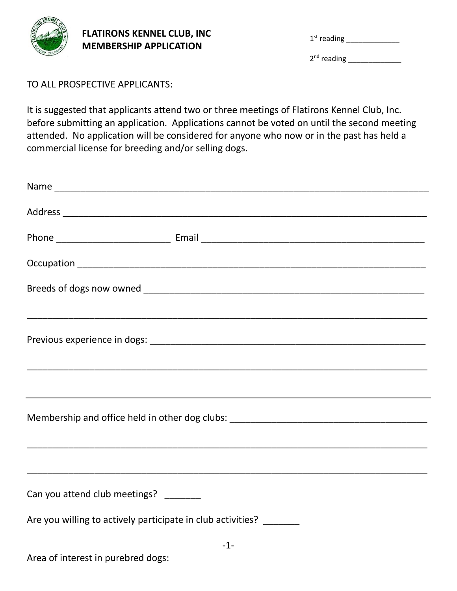

## **FLATIRONS KENNEL CLUB, INC MEMBERSHIP APPLICATION**

|  | $1st$ reading |  |
|--|---------------|--|
|--|---------------|--|

2<sup>nd</sup> reading \_\_\_\_\_\_\_\_\_\_\_\_\_\_\_

## TO ALL PROSPECTIVE APPLICANTS:

It is suggested that applicants attend two or three meetings of Flatirons Kennel Club, Inc. before submitting an application. Applications cannot be voted on until the second meeting attended. No application will be considered for anyone who now or in the past has held a commercial license for breeding and/or selling dogs.

|                                                                    | Membership and office held in other dog clubs: __________________________________ |
|--------------------------------------------------------------------|-----------------------------------------------------------------------------------|
|                                                                    |                                                                                   |
| Can you attend club meetings? _______                              |                                                                                   |
| Are you willing to actively participate in club activities? ______ |                                                                                   |
|                                                                    | $-1-$                                                                             |